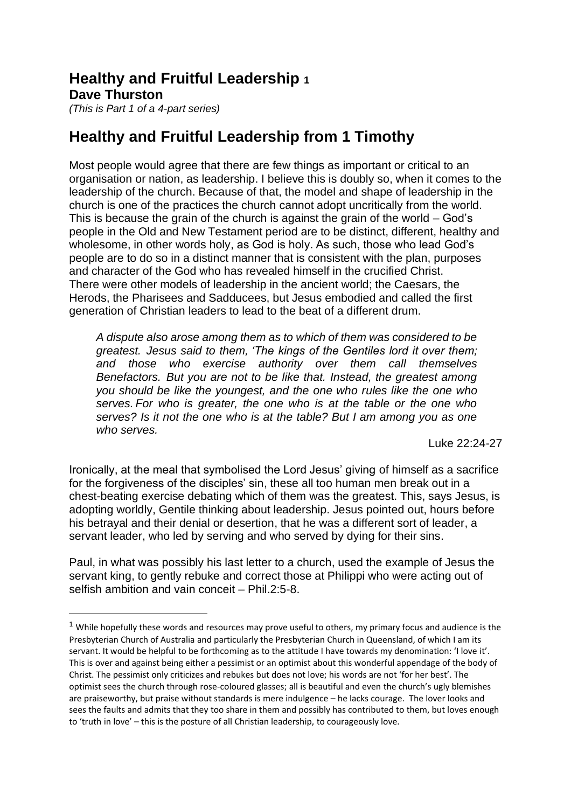## **Healthy and Fruitful Leadership <sup>1</sup> Dave Thurston**

*(This is Part 1 of a 4-part series)*

## **Healthy and Fruitful Leadership from 1 Timothy**

Most people would agree that there are few things as important or critical to an organisation or nation, as leadership. I believe this is doubly so, when it comes to the leadership of the church. Because of that, the model and shape of leadership in the church is one of the practices the church cannot adopt uncritically from the world. This is because the grain of the church is against the grain of the world – God's people in the Old and New Testament period are to be distinct, different, healthy and wholesome, in other words holy, as God is holy. As such, those who lead God's people are to do so in a distinct manner that is consistent with the plan, purposes and character of the God who has revealed himself in the crucified Christ. There were other models of leadership in the ancient world; the Caesars, the Herods, the Pharisees and Sadducees, but Jesus embodied and called the first generation of Christian leaders to lead to the beat of a different drum.

*A dispute also arose among them as to which of them was considered to be greatest. Jesus said to them, 'The kings of the Gentiles lord it over them; and those who exercise authority over them call themselves Benefactors. But you are not to be like that. Instead, the greatest among you should be like the youngest, and the one who rules like the one who serves. For who is greater, the one who is at the table or the one who serves? Is it not the one who is at the table? But I am among you as one who serves.*

Luke 22:24-27

Ironically, at the meal that symbolised the Lord Jesus' giving of himself as a sacrifice for the forgiveness of the disciples' sin, these all too human men break out in a chest-beating exercise debating which of them was the greatest. This, says Jesus, is adopting worldly, Gentile thinking about leadership. Jesus pointed out, hours before his betrayal and their denial or desertion, that he was a different sort of leader, a servant leader, who led by serving and who served by dying for their sins.

Paul, in what was possibly his last letter to a church, used the example of Jesus the servant king, to gently rebuke and correct those at Philippi who were acting out of selfish ambition and vain conceit – Phil.2:5-8.

 $1$  While hopefully these words and resources may prove useful to others, my primary focus and audience is the Presbyterian Church of Australia and particularly the Presbyterian Church in Queensland, of which I am its servant. It would be helpful to be forthcoming as to the attitude I have towards my denomination: 'I love it'. This is over and against being either a pessimist or an optimist about this wonderful appendage of the body of Christ. The pessimist only criticizes and rebukes but does not love; his words are not 'for her best'. The optimist sees the church through rose-coloured glasses; all is beautiful and even the church's ugly blemishes are praiseworthy, but praise without standards is mere indulgence – he lacks courage. The lover looks and sees the faults and admits that they too share in them and possibly has contributed to them, but loves enough to 'truth in love' – this is the posture of all Christian leadership, to courageously love.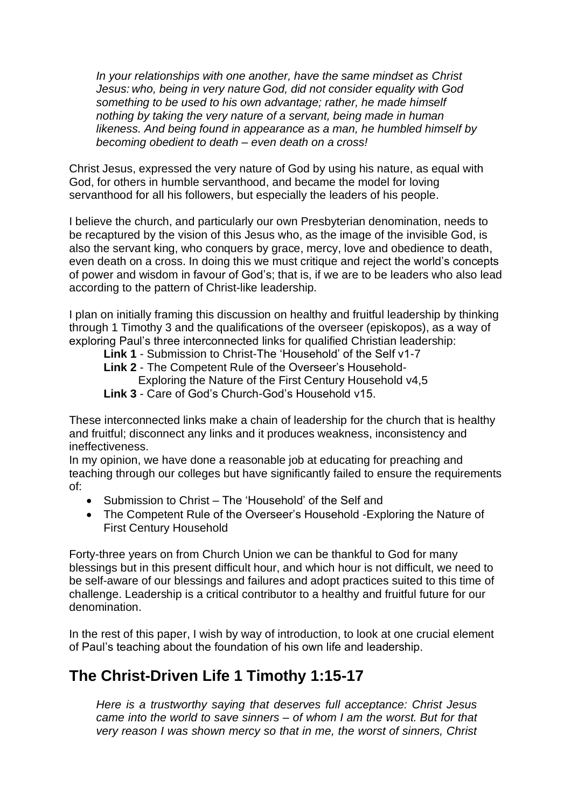*In your relationships with one another, have the same mindset as Christ Jesus: who, being in very nature God, did not consider equality with God something to be used to his own advantage; rather, he made himself nothing by taking the very nature of a servant, being made in human likeness. And being found in appearance as a man, he humbled himself by becoming obedient to death – even death on a cross!*

Christ Jesus, expressed the very nature of God by using his nature, as equal with God, for others in humble servanthood, and became the model for loving servanthood for all his followers, but especially the leaders of his people.

I believe the church, and particularly our own Presbyterian denomination, needs to be recaptured by the vision of this Jesus who, as the image of the invisible God, is also the servant king, who conquers by grace, mercy, love and obedience to death, even death on a cross. In doing this we must critique and reject the world's concepts of power and wisdom in favour of God's; that is, if we are to be leaders who also lead according to the pattern of Christ-like leadership.

I plan on initially framing this discussion on healthy and fruitful leadership by thinking through 1 Timothy 3 and the qualifications of the overseer (episkopos), as a way of exploring Paul's three interconnected links for qualified Christian leadership:

**Link 1** - Submission to Christ-The 'Household' of the Self v1-7 **Link 2** - The Competent Rule of the Overseer's Household-Exploring the Nature of the First Century Household v4,5 **Link 3** - Care of God's Church-God's Household v15.

These interconnected links make a chain of leadership for the church that is healthy and fruitful; disconnect any links and it produces weakness, inconsistency and ineffectiveness.

In my opinion, we have done a reasonable job at educating for preaching and teaching through our colleges but have significantly failed to ensure the requirements of:

- Submission to Christ The 'Household' of the Self and
- The Competent Rule of the Overseer's Household -Exploring the Nature of First Century Household

Forty-three years on from Church Union we can be thankful to God for many blessings but in this present difficult hour, and which hour is not difficult, we need to be self-aware of our blessings and failures and adopt practices suited to this time of challenge. Leadership is a critical contributor to a healthy and fruitful future for our denomination.

In the rest of this paper, I wish by way of introduction, to look at one crucial element of Paul's teaching about the foundation of his own life and leadership.

## **The Christ-Driven Life 1 Timothy 1:15-17**

*Here is a trustworthy saying that deserves full acceptance: Christ Jesus came into the world to save sinners – of whom I am the worst. But for that very reason I was shown mercy so that in me, the worst of sinners, Christ*